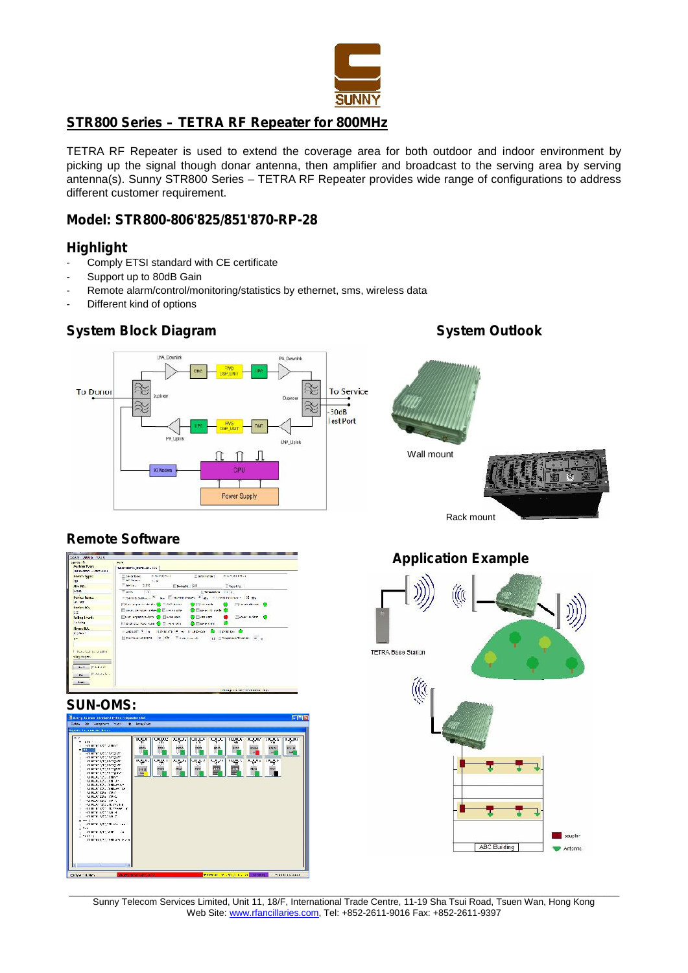

## **STR800 Series – TETRA RF Repeater for 800MHz**

TETRA RF Repeater is used to extend the coverage area for both outdoor and indoor environment by picking up the signal though donar antenna, then amplifier and broadcast to the serving area by serving antenna(s). Sunny STR800 Series – TETRA RF Repeater provides wide range of configurations to address different customer requirement.

### **Model: STR800-806'825/851'870-RP-28**

## **Highlight**

- Comply ETSI standard with CE certificate
- Support up to 80dB Gain
- Remote alarm/control/monitoring/statistics by ethernet, sms, wireless data
- Different kind of options

# **System Block Diagram System Outlook**



## **Remote Software**

| de mento                    | 10015                                                                                                                                                                                                                          |
|-----------------------------|--------------------------------------------------------------------------------------------------------------------------------------------------------------------------------------------------------------------------------|
| System Types                | MERSON/CONTROLLED, Ivy                                                                                                                                                                                                         |
| <b>Device Typec</b><br>NU.  | <b>RIGHTHENT</b><br>Elastrikungen :<br><b>Contaction:</b><br><b>KILMURREY</b><br>af Desart, 9107                                                                                                                               |
| Filte NO :                  | Webs. 0022<br>EDe-loads.: 255 Theostic.                                                                                                                                                                                        |
| <b>XSG</b>                  | Theorem The Executive Internet Contract Contract Contract Contract Contract Contract Contract Contract Contract Contract Contract Contract Contract Contract Contract Contract Contract Contract Contract Contract Contract Co |
| <b>Device Range</b>         | Thermodels and W. S. Element near 18 gs. Elementations 28 gs.                                                                                                                                                                  |
| W. VE                       | Filter represented to Contact the Contact Contact the Contact Contact Contact Contact Contact Contact Contact Contact Contact Contact Contact Contact Contact Contact Contact Contact Contact Contact Contact Contact Contact  |
| Device War<br>125           | □ increase with ( Clearing) ●□ increase → ●□                                                                                                                                                                                   |
| <b>Dollary Leverd:</b>      |                                                                                                                                                                                                                                |
| to Nike                     | Illia de Norvan O ⊡interno O ⊟uerrore O                                                                                                                                                                                        |
| House 80.                   | Europe C a Hanson F a Historic C Hanson C                                                                                                                                                                                      |
| <b>Kolleger</b>             |                                                                                                                                                                                                                                |
| <b>HP</b>                   | Combined CATH C OR Theatreat - U.S. Deposit Thomas In y                                                                                                                                                                        |
| Taxa: Halong a self of      |                                                                                                                                                                                                                                |
| <b>SECRETARY</b>            |                                                                                                                                                                                                                                |
| Book Fishers                |                                                                                                                                                                                                                                |
| <b>St.</b> Family<br>FAIRT. |                                                                                                                                                                                                                                |
|                             |                                                                                                                                                                                                                                |
|                             | Adapting lane living and the                                                                                                                                                                                                   |

# **SUN-OMS:**





\_\_\_\_\_\_\_\_\_\_\_\_\_\_\_\_\_\_\_\_\_\_\_\_\_\_\_\_\_\_\_\_\_\_\_\_\_\_\_\_\_\_\_\_\_\_\_\_\_\_\_\_\_\_\_\_\_\_\_\_\_\_\_\_\_\_\_\_\_\_\_\_\_\_\_\_\_\_\_\_\_\_\_\_\_\_\_\_\_\_\_\_\_\_\_\_\_\_\_\_\_\_\_\_\_\_\_ Sunny Telecom Services Limited, Unit 11, 18/F, International Trade Centre, 11-19 Sha Tsui Road, Tsuen Wan, Hong Kong Web Site: www.rfancillaries.com, Tel: +852-2611-9016 Fax: +852-2611-9397